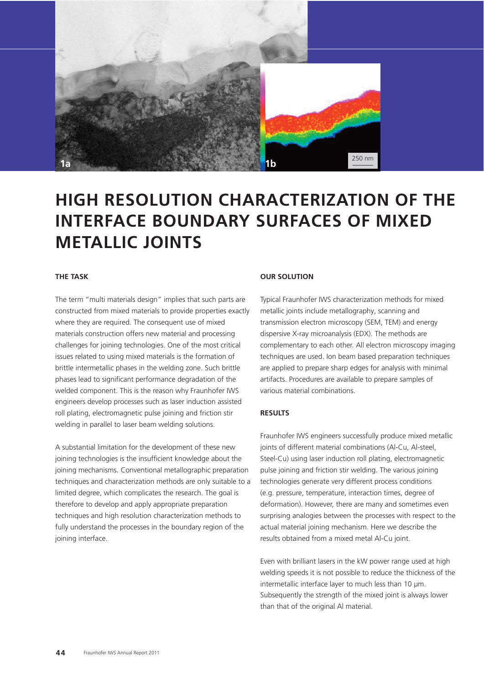

# **HIGH RESOLUTION CHARACTERIZATION OF THE INTERFACE BOUNDARY SURFACES OF MIXED METALLIC JOINTS**

#### **THE TASK**

The term "multi materials design" implies that such parts are constructed from mixed materials to provide properties exactly where they are required. The consequent use of mixed materials construction offers new material and processing challenges for joining technologies. One of the most critical issues related to using mixed materials is the formation of brittle intermetallic phases in the welding zone. Such brittle phases lead to significant performance degradation of the welded component. This is the reason why Fraunhofer IWS engineers develop processes such as laser induction assisted roll plating, electromagnetic pulse joining and friction stir welding in parallel to laser beam welding solutions.

A substantial limitation for the development of these new joining technologies is the insufficient knowledge about the joining mechanisms. Conventional metallographic preparation techniques and characterization methods are only suitable to a limited degree, which complicates the research. The goal is therefore to develop and apply appropriate preparation techniques and high resolution characterization methods to fully understand the processes in the boundary region of the joining interface.

#### **OUR SOLUTION**

Typical Fraunhofer IWS characterization methods for mixed metallic joints include metallography, scanning and transmission electron microscopy (SEM, TEM) and energy dispersive X-ray microanalysis (EDX). The methods are complementary to each other. All electron microscopy imaging techniques are used. Ion beam based preparation techniques are applied to prepare sharp edges for analysis with minimal artifacts. Procedures are available to prepare samples of various material combinations.

### **RESULTS**

Fraunhofer IWS engineers successfully produce mixed metallic joints of different material combinations (Al-Cu, Al-steel, Steel-Cu) using laser induction roll plating, electromagnetic pulse joining and friction stir welding. The various joining technologies generate very different process conditions (e.g. pressure, temperature, interaction times, degree of deformation). However, there are many and sometimes even surprising analogies between the processes with respect to the actual material joining mechanism. Here we describe the results obtained from a mixed metal Al-Cu joint.

Even with brilliant lasers in the kW power range used at high welding speeds it is not possible to reduce the thickness of the intermetallic interface layer to much less than 10 μm. Subsequently the strength of the mixed joint is always lower than that of the original Al material.